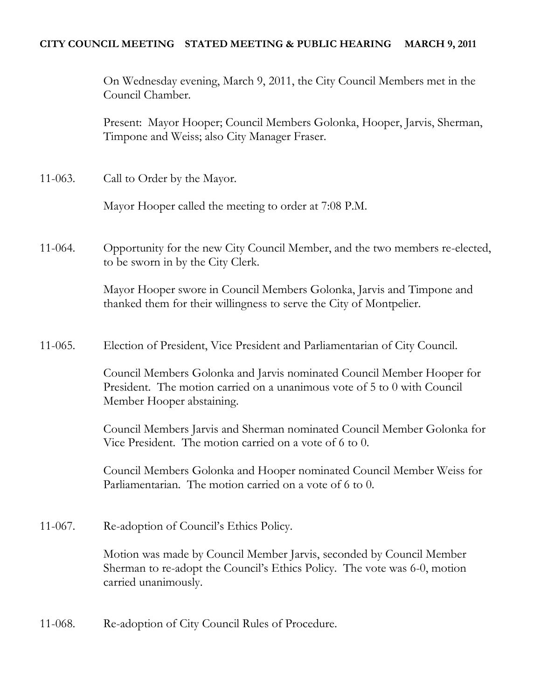## **CITY COUNCIL MEETING STATED MEETING & PUBLIC HEARING MARCH 9, 2011**

On Wednesday evening, March 9, 2011, the City Council Members met in the Council Chamber.

Present: Mayor Hooper; Council Members Golonka, Hooper, Jarvis, Sherman, Timpone and Weiss; also City Manager Fraser.

11-063. Call to Order by the Mayor.

Mayor Hooper called the meeting to order at 7:08 P.M.

11-064. Opportunity for the new City Council Member, and the two members re-elected, to be sworn in by the City Clerk.

> Mayor Hooper swore in Council Members Golonka, Jarvis and Timpone and thanked them for their willingness to serve the City of Montpelier.

11-065. Election of President, Vice President and Parliamentarian of City Council.

Council Members Golonka and Jarvis nominated Council Member Hooper for President. The motion carried on a unanimous vote of 5 to 0 with Council Member Hooper abstaining.

Council Members Jarvis and Sherman nominated Council Member Golonka for Vice President. The motion carried on a vote of 6 to 0.

Council Members Golonka and Hooper nominated Council Member Weiss for Parliamentarian. The motion carried on a vote of 6 to 0.

11-067. Re-adoption of Council's Ethics Policy.

Motion was made by Council Member Jarvis, seconded by Council Member Sherman to re-adopt the Council's Ethics Policy. The vote was 6-0, motion carried unanimously.

11-068. Re-adoption of City Council Rules of Procedure.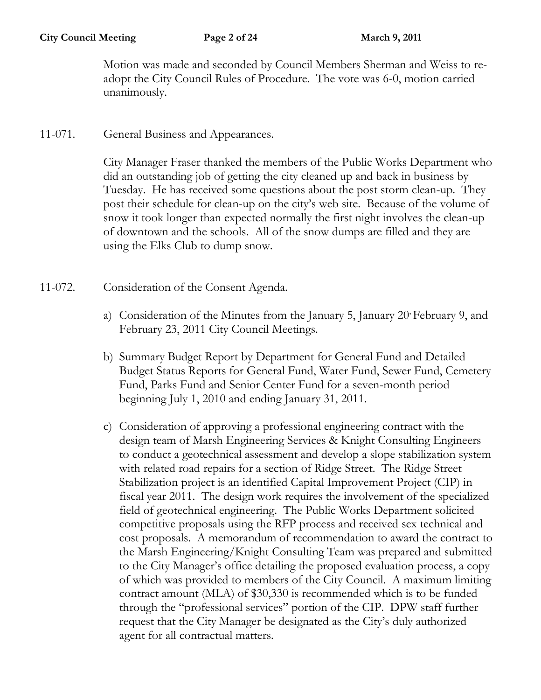Motion was made and seconded by Council Members Sherman and Weiss to readopt the City Council Rules of Procedure. The vote was 6-0, motion carried unanimously.

11-071. General Business and Appearances.

City Manager Fraser thanked the members of the Public Works Department who did an outstanding job of getting the city cleaned up and back in business by Tuesday. He has received some questions about the post storm clean-up. They post their schedule for clean-up on the city's web site. Because of the volume of snow it took longer than expected normally the first night involves the clean-up of downtown and the schools. All of the snow dumps are filled and they are using the Elks Club to dump snow.

- 11-072. Consideration of the Consent Agenda.
	- a) Consideration of the Minutes from the January 5, January 20 February 9, and February 23, 2011 City Council Meetings.
	- b) Summary Budget Report by Department for General Fund and Detailed Budget Status Reports for General Fund, Water Fund, Sewer Fund, Cemetery Fund, Parks Fund and Senior Center Fund for a seven-month period beginning July 1, 2010 and ending January 31, 2011.
	- c) Consideration of approving a professional engineering contract with the design team of Marsh Engineering Services & Knight Consulting Engineers to conduct a geotechnical assessment and develop a slope stabilization system with related road repairs for a section of Ridge Street. The Ridge Street Stabilization project is an identified Capital Improvement Project (CIP) in fiscal year 2011. The design work requires the involvement of the specialized field of geotechnical engineering. The Public Works Department solicited competitive proposals using the RFP process and received sex technical and cost proposals. A memorandum of recommendation to award the contract to the Marsh Engineering/Knight Consulting Team was prepared and submitted to the City Manager's office detailing the proposed evaluation process, a copy of which was provided to members of the City Council. A maximum limiting contract amount (MLA) of \$30,330 is recommended which is to be funded through the "professional services" portion of the CIP. DPW staff further request that the City Manager be designated as the City's duly authorized agent for all contractual matters.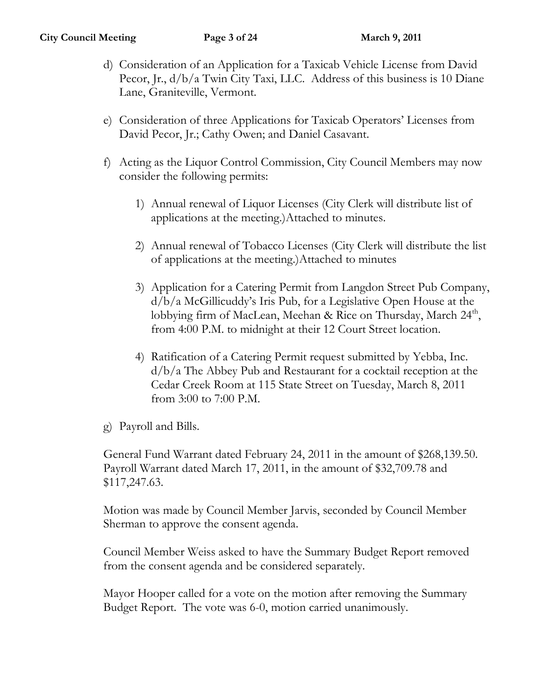- d) Consideration of an Application for a Taxicab Vehicle License from David Pecor, Jr.,  $d/b/a$  Twin City Taxi, LLC. Address of this business is 10 Diane Lane, Graniteville, Vermont.
- e) Consideration of three Applications for Taxicab Operators' Licenses from David Pecor, Jr.; Cathy Owen; and Daniel Casavant.
- f) Acting as the Liquor Control Commission, City Council Members may now consider the following permits:
	- 1) Annual renewal of Liquor Licenses (City Clerk will distribute list of applications at the meeting.)Attached to minutes.
	- 2) Annual renewal of Tobacco Licenses (City Clerk will distribute the list of applications at the meeting.)Attached to minutes
	- 3) Application for a Catering Permit from Langdon Street Pub Company, d/b/a McGillicuddy's Iris Pub, for a Legislative Open House at the lobbying firm of MacLean, Meehan & Rice on Thursday, March 24<sup>th</sup>, from 4:00 P.M. to midnight at their 12 Court Street location.
	- 4) Ratification of a Catering Permit request submitted by Yebba, Inc. d/b/a The Abbey Pub and Restaurant for a cocktail reception at the Cedar Creek Room at 115 State Street on Tuesday, March 8, 2011 from 3:00 to 7:00 P.M.
- g) Payroll and Bills.

General Fund Warrant dated February 24, 2011 in the amount of \$268,139.50. Payroll Warrant dated March 17, 2011, in the amount of \$32,709.78 and \$117,247.63.

Motion was made by Council Member Jarvis, seconded by Council Member Sherman to approve the consent agenda.

Council Member Weiss asked to have the Summary Budget Report removed from the consent agenda and be considered separately.

Mayor Hooper called for a vote on the motion after removing the Summary Budget Report. The vote was 6-0, motion carried unanimously.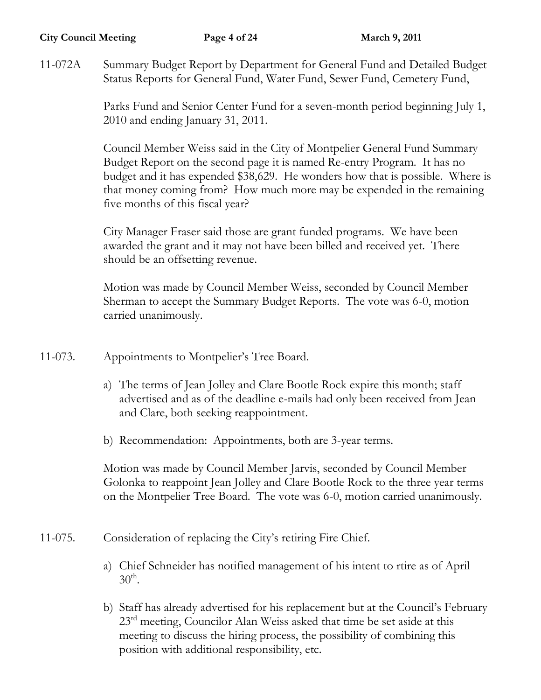#### **City Council Meeting Page 4 of 24 March 9, 2011**

11-072A Summary Budget Report by Department for General Fund and Detailed Budget Status Reports for General Fund, Water Fund, Sewer Fund, Cemetery Fund,

> Parks Fund and Senior Center Fund for a seven-month period beginning July 1, 2010 and ending January 31, 2011.

Council Member Weiss said in the City of Montpelier General Fund Summary Budget Report on the second page it is named Re-entry Program. It has no budget and it has expended \$38,629. He wonders how that is possible. Where is that money coming from? How much more may be expended in the remaining five months of this fiscal year?

City Manager Fraser said those are grant funded programs. We have been awarded the grant and it may not have been billed and received yet. There should be an offsetting revenue.

Motion was made by Council Member Weiss, seconded by Council Member Sherman to accept the Summary Budget Reports. The vote was 6-0, motion carried unanimously.

- 11-073. Appointments to Montpelier's Tree Board.
	- a) The terms of Jean Jolley and Clare Bootle Rock expire this month; staff advertised and as of the deadline e-mails had only been received from Jean and Clare, both seeking reappointment.
	- b) Recommendation: Appointments, both are 3-year terms.

Motion was made by Council Member Jarvis, seconded by Council Member Golonka to reappoint Jean Jolley and Clare Bootle Rock to the three year terms on the Montpelier Tree Board. The vote was 6-0, motion carried unanimously.

- 11-075. Consideration of replacing the City's retiring Fire Chief.
	- a) Chief Schneider has notified management of his intent to rtire as of April  $30<sup>th</sup>$ .
	- b) Staff has already advertised for his replacement but at the Council's February 23<sup>rd</sup> meeting, Councilor Alan Weiss asked that time be set aside at this meeting to discuss the hiring process, the possibility of combining this position with additional responsibility, etc.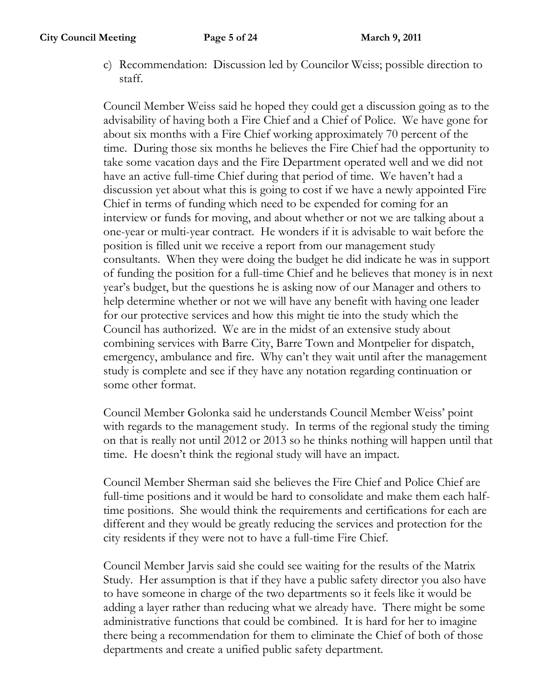c) Recommendation: Discussion led by Councilor Weiss; possible direction to staff.

Council Member Weiss said he hoped they could get a discussion going as to the advisability of having both a Fire Chief and a Chief of Police. We have gone for about six months with a Fire Chief working approximately 70 percent of the time. During those six months he believes the Fire Chief had the opportunity to take some vacation days and the Fire Department operated well and we did not have an active full-time Chief during that period of time. We haven't had a discussion yet about what this is going to cost if we have a newly appointed Fire Chief in terms of funding which need to be expended for coming for an interview or funds for moving, and about whether or not we are talking about a one-year or multi-year contract. He wonders if it is advisable to wait before the position is filled unit we receive a report from our management study consultants. When they were doing the budget he did indicate he was in support of funding the position for a full-time Chief and he believes that money is in next year's budget, but the questions he is asking now of our Manager and others to help determine whether or not we will have any benefit with having one leader for our protective services and how this might tie into the study which the Council has authorized. We are in the midst of an extensive study about combining services with Barre City, Barre Town and Montpelier for dispatch, emergency, ambulance and fire. Why can't they wait until after the management study is complete and see if they have any notation regarding continuation or some other format.

Council Member Golonka said he understands Council Member Weiss' point with regards to the management study. In terms of the regional study the timing on that is really not until 2012 or 2013 so he thinks nothing will happen until that time. He doesn't think the regional study will have an impact.

Council Member Sherman said she believes the Fire Chief and Police Chief are full-time positions and it would be hard to consolidate and make them each halftime positions. She would think the requirements and certifications for each are different and they would be greatly reducing the services and protection for the city residents if they were not to have a full-time Fire Chief.

Council Member Jarvis said she could see waiting for the results of the Matrix Study. Her assumption is that if they have a public safety director you also have to have someone in charge of the two departments so it feels like it would be adding a layer rather than reducing what we already have. There might be some administrative functions that could be combined. It is hard for her to imagine there being a recommendation for them to eliminate the Chief of both of those departments and create a unified public safety department.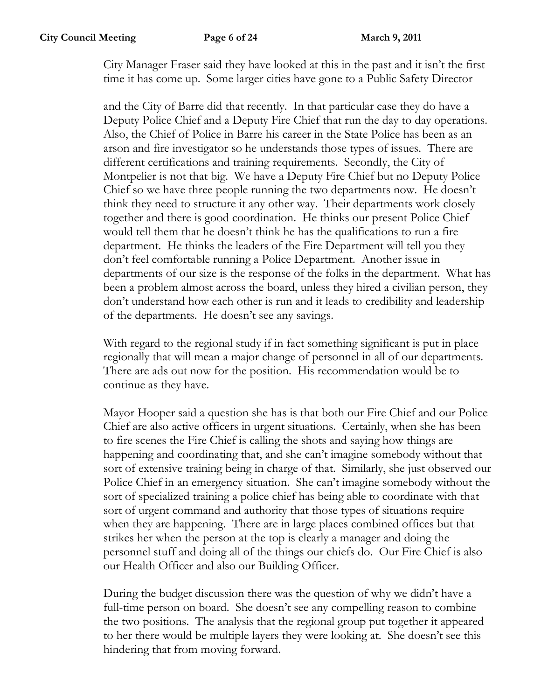City Manager Fraser said they have looked at this in the past and it isn't the first time it has come up. Some larger cities have gone to a Public Safety Director

and the City of Barre did that recently. In that particular case they do have a Deputy Police Chief and a Deputy Fire Chief that run the day to day operations. Also, the Chief of Police in Barre his career in the State Police has been as an arson and fire investigator so he understands those types of issues. There are different certifications and training requirements. Secondly, the City of Montpelier is not that big. We have a Deputy Fire Chief but no Deputy Police Chief so we have three people running the two departments now. He doesn't think they need to structure it any other way. Their departments work closely together and there is good coordination. He thinks our present Police Chief would tell them that he doesn't think he has the qualifications to run a fire department. He thinks the leaders of the Fire Department will tell you they don't feel comfortable running a Police Department. Another issue in departments of our size is the response of the folks in the department. What has been a problem almost across the board, unless they hired a civilian person, they don't understand how each other is run and it leads to credibility and leadership of the departments. He doesn't see any savings.

With regard to the regional study if in fact something significant is put in place regionally that will mean a major change of personnel in all of our departments. There are ads out now for the position. His recommendation would be to continue as they have.

Mayor Hooper said a question she has is that both our Fire Chief and our Police Chief are also active officers in urgent situations. Certainly, when she has been to fire scenes the Fire Chief is calling the shots and saying how things are happening and coordinating that, and she can't imagine somebody without that sort of extensive training being in charge of that. Similarly, she just observed our Police Chief in an emergency situation. She can't imagine somebody without the sort of specialized training a police chief has being able to coordinate with that sort of urgent command and authority that those types of situations require when they are happening. There are in large places combined offices but that strikes her when the person at the top is clearly a manager and doing the personnel stuff and doing all of the things our chiefs do. Our Fire Chief is also our Health Officer and also our Building Officer.

During the budget discussion there was the question of why we didn't have a full-time person on board. She doesn't see any compelling reason to combine the two positions. The analysis that the regional group put together it appeared to her there would be multiple layers they were looking at. She doesn't see this hindering that from moving forward.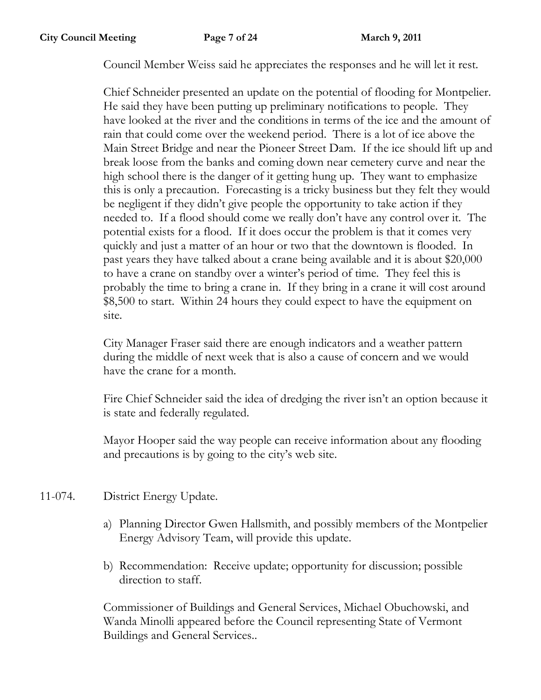Council Member Weiss said he appreciates the responses and he will let it rest.

Chief Schneider presented an update on the potential of flooding for Montpelier. He said they have been putting up preliminary notifications to people. They have looked at the river and the conditions in terms of the ice and the amount of rain that could come over the weekend period. There is a lot of ice above the Main Street Bridge and near the Pioneer Street Dam. If the ice should lift up and break loose from the banks and coming down near cemetery curve and near the high school there is the danger of it getting hung up. They want to emphasize this is only a precaution. Forecasting is a tricky business but they felt they would be negligent if they didn't give people the opportunity to take action if they needed to. If a flood should come we really don't have any control over it. The potential exists for a flood. If it does occur the problem is that it comes very quickly and just a matter of an hour or two that the downtown is flooded. In past years they have talked about a crane being available and it is about \$20,000 to have a crane on standby over a winter's period of time. They feel this is probably the time to bring a crane in. If they bring in a crane it will cost around \$8,500 to start. Within 24 hours they could expect to have the equipment on site.

City Manager Fraser said there are enough indicators and a weather pattern during the middle of next week that is also a cause of concern and we would have the crane for a month.

Fire Chief Schneider said the idea of dredging the river isn't an option because it is state and federally regulated.

Mayor Hooper said the way people can receive information about any flooding and precautions is by going to the city's web site.

- 11-074. District Energy Update.
	- a) Planning Director Gwen Hallsmith, and possibly members of the Montpelier Energy Advisory Team, will provide this update.
	- b) Recommendation: Receive update; opportunity for discussion; possible direction to staff.

Commissioner of Buildings and General Services, Michael Obuchowski, and Wanda Minolli appeared before the Council representing State of Vermont Buildings and General Services..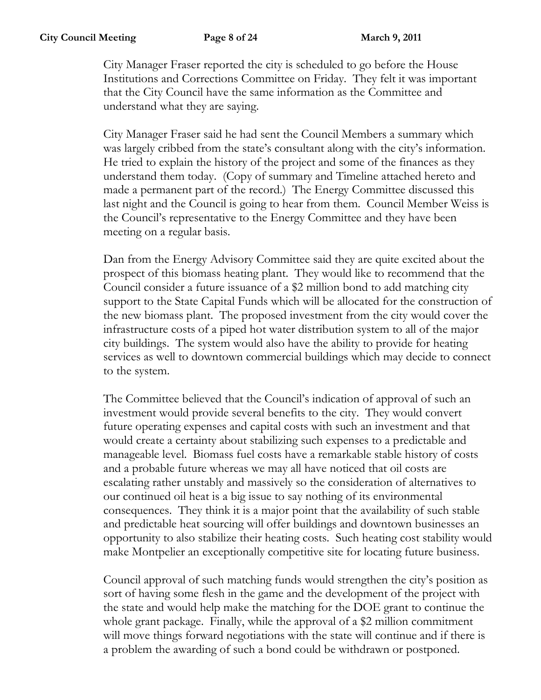City Manager Fraser reported the city is scheduled to go before the House Institutions and Corrections Committee on Friday. They felt it was important that the City Council have the same information as the Committee and understand what they are saying.

City Manager Fraser said he had sent the Council Members a summary which was largely cribbed from the state's consultant along with the city's information. He tried to explain the history of the project and some of the finances as they understand them today. (Copy of summary and Timeline attached hereto and made a permanent part of the record.) The Energy Committee discussed this last night and the Council is going to hear from them. Council Member Weiss is the Council's representative to the Energy Committee and they have been meeting on a regular basis.

Dan from the Energy Advisory Committee said they are quite excited about the prospect of this biomass heating plant. They would like to recommend that the Council consider a future issuance of a \$2 million bond to add matching city support to the State Capital Funds which will be allocated for the construction of the new biomass plant. The proposed investment from the city would cover the infrastructure costs of a piped hot water distribution system to all of the major city buildings. The system would also have the ability to provide for heating services as well to downtown commercial buildings which may decide to connect to the system.

The Committee believed that the Council's indication of approval of such an investment would provide several benefits to the city. They would convert future operating expenses and capital costs with such an investment and that would create a certainty about stabilizing such expenses to a predictable and manageable level. Biomass fuel costs have a remarkable stable history of costs and a probable future whereas we may all have noticed that oil costs are escalating rather unstably and massively so the consideration of alternatives to our continued oil heat is a big issue to say nothing of its environmental consequences. They think it is a major point that the availability of such stable and predictable heat sourcing will offer buildings and downtown businesses an opportunity to also stabilize their heating costs. Such heating cost stability would make Montpelier an exceptionally competitive site for locating future business.

Council approval of such matching funds would strengthen the city's position as sort of having some flesh in the game and the development of the project with the state and would help make the matching for the DOE grant to continue the whole grant package. Finally, while the approval of a \$2 million commitment will move things forward negotiations with the state will continue and if there is a problem the awarding of such a bond could be withdrawn or postponed.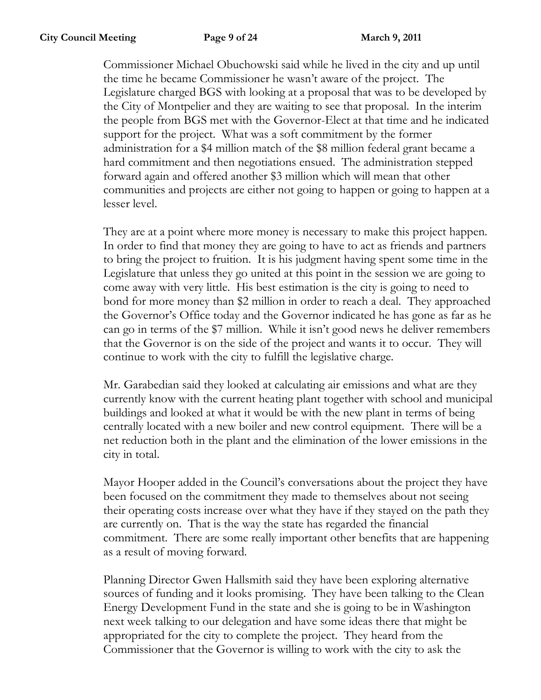Commissioner Michael Obuchowski said while he lived in the city and up until the time he became Commissioner he wasn't aware of the project. The Legislature charged BGS with looking at a proposal that was to be developed by the City of Montpelier and they are waiting to see that proposal. In the interim the people from BGS met with the Governor-Elect at that time and he indicated support for the project. What was a soft commitment by the former administration for a \$4 million match of the \$8 million federal grant became a hard commitment and then negotiations ensued. The administration stepped forward again and offered another \$3 million which will mean that other communities and projects are either not going to happen or going to happen at a lesser level.

They are at a point where more money is necessary to make this project happen. In order to find that money they are going to have to act as friends and partners to bring the project to fruition. It is his judgment having spent some time in the Legislature that unless they go united at this point in the session we are going to come away with very little. His best estimation is the city is going to need to bond for more money than \$2 million in order to reach a deal. They approached the Governor's Office today and the Governor indicated he has gone as far as he can go in terms of the \$7 million. While it isn't good news he deliver remembers that the Governor is on the side of the project and wants it to occur. They will continue to work with the city to fulfill the legislative charge.

Mr. Garabedian said they looked at calculating air emissions and what are they currently know with the current heating plant together with school and municipal buildings and looked at what it would be with the new plant in terms of being centrally located with a new boiler and new control equipment. There will be a net reduction both in the plant and the elimination of the lower emissions in the city in total.

Mayor Hooper added in the Council's conversations about the project they have been focused on the commitment they made to themselves about not seeing their operating costs increase over what they have if they stayed on the path they are currently on. That is the way the state has regarded the financial commitment. There are some really important other benefits that are happening as a result of moving forward.

Planning Director Gwen Hallsmith said they have been exploring alternative sources of funding and it looks promising. They have been talking to the Clean Energy Development Fund in the state and she is going to be in Washington next week talking to our delegation and have some ideas there that might be appropriated for the city to complete the project. They heard from the Commissioner that the Governor is willing to work with the city to ask the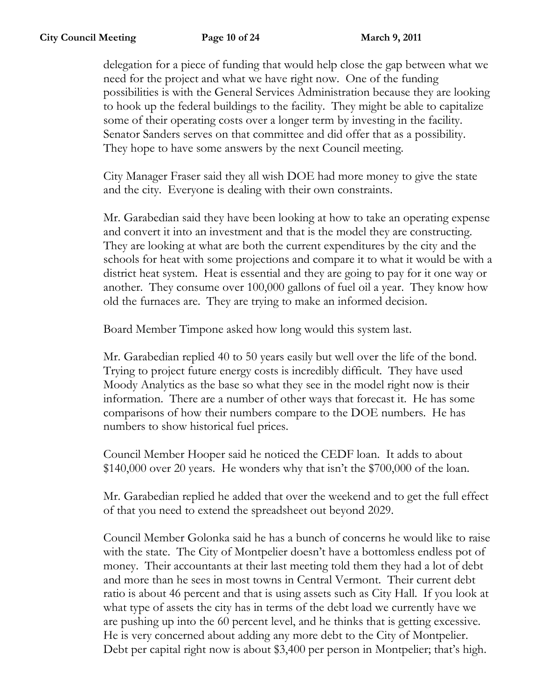delegation for a piece of funding that would help close the gap between what we need for the project and what we have right now. One of the funding possibilities is with the General Services Administration because they are looking to hook up the federal buildings to the facility. They might be able to capitalize some of their operating costs over a longer term by investing in the facility. Senator Sanders serves on that committee and did offer that as a possibility. They hope to have some answers by the next Council meeting.

City Manager Fraser said they all wish DOE had more money to give the state and the city. Everyone is dealing with their own constraints.

Mr. Garabedian said they have been looking at how to take an operating expense and convert it into an investment and that is the model they are constructing. They are looking at what are both the current expenditures by the city and the schools for heat with some projections and compare it to what it would be with a district heat system. Heat is essential and they are going to pay for it one way or another. They consume over 100,000 gallons of fuel oil a year. They know how old the furnaces are. They are trying to make an informed decision.

Board Member Timpone asked how long would this system last.

Mr. Garabedian replied 40 to 50 years easily but well over the life of the bond. Trying to project future energy costs is incredibly difficult. They have used Moody Analytics as the base so what they see in the model right now is their information. There are a number of other ways that forecast it. He has some comparisons of how their numbers compare to the DOE numbers. He has numbers to show historical fuel prices.

Council Member Hooper said he noticed the CEDF loan. It adds to about \$140,000 over 20 years. He wonders why that isn't the \$700,000 of the loan.

Mr. Garabedian replied he added that over the weekend and to get the full effect of that you need to extend the spreadsheet out beyond 2029.

Council Member Golonka said he has a bunch of concerns he would like to raise with the state. The City of Montpelier doesn't have a bottomless endless pot of money. Their accountants at their last meeting told them they had a lot of debt and more than he sees in most towns in Central Vermont. Their current debt ratio is about 46 percent and that is using assets such as City Hall. If you look at what type of assets the city has in terms of the debt load we currently have we are pushing up into the 60 percent level, and he thinks that is getting excessive. He is very concerned about adding any more debt to the City of Montpelier. Debt per capital right now is about \$3,400 per person in Montpelier; that's high.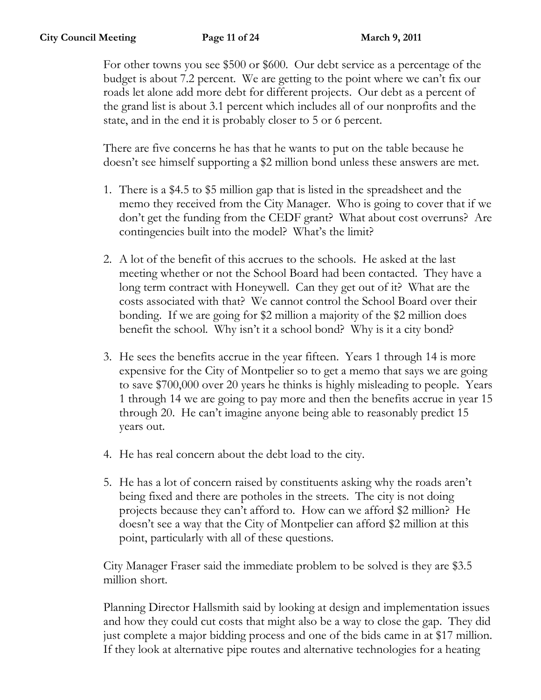For other towns you see \$500 or \$600. Our debt service as a percentage of the budget is about 7.2 percent. We are getting to the point where we can't fix our roads let alone add more debt for different projects. Our debt as a percent of the grand list is about 3.1 percent which includes all of our nonprofits and the state, and in the end it is probably closer to 5 or 6 percent.

There are five concerns he has that he wants to put on the table because he doesn't see himself supporting a \$2 million bond unless these answers are met.

- 1. There is a \$4.5 to \$5 million gap that is listed in the spreadsheet and the memo they received from the City Manager. Who is going to cover that if we don't get the funding from the CEDF grant? What about cost overruns? Are contingencies built into the model? What's the limit?
- 2. A lot of the benefit of this accrues to the schools. He asked at the last meeting whether or not the School Board had been contacted. They have a long term contract with Honeywell. Can they get out of it? What are the costs associated with that? We cannot control the School Board over their bonding. If we are going for \$2 million a majority of the \$2 million does benefit the school. Why isn't it a school bond? Why is it a city bond?
- 3. He sees the benefits accrue in the year fifteen. Years 1 through 14 is more expensive for the City of Montpelier so to get a memo that says we are going to save \$700,000 over 20 years he thinks is highly misleading to people. Years 1 through 14 we are going to pay more and then the benefits accrue in year 15 through 20. He can't imagine anyone being able to reasonably predict 15 years out.
- 4. He has real concern about the debt load to the city.
- 5. He has a lot of concern raised by constituents asking why the roads aren't being fixed and there are potholes in the streets. The city is not doing projects because they can't afford to. How can we afford \$2 million? He doesn't see a way that the City of Montpelier can afford \$2 million at this point, particularly with all of these questions.

City Manager Fraser said the immediate problem to be solved is they are \$3.5 million short.

Planning Director Hallsmith said by looking at design and implementation issues and how they could cut costs that might also be a way to close the gap. They did just complete a major bidding process and one of the bids came in at \$17 million. If they look at alternative pipe routes and alternative technologies for a heating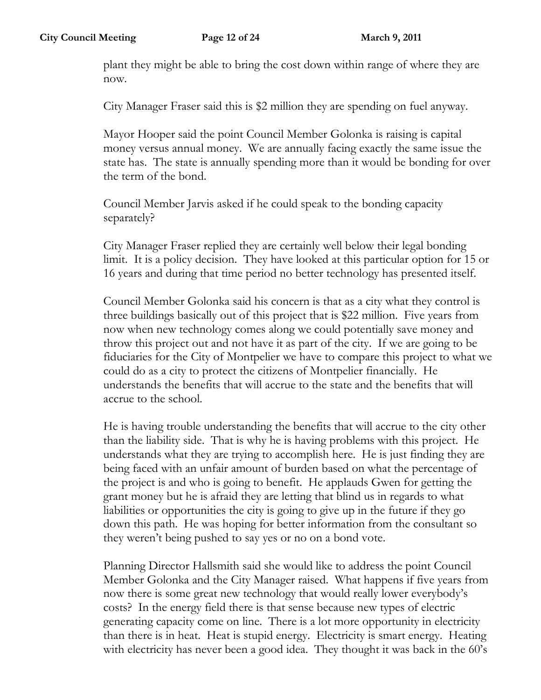plant they might be able to bring the cost down within range of where they are now.

City Manager Fraser said this is \$2 million they are spending on fuel anyway.

Mayor Hooper said the point Council Member Golonka is raising is capital money versus annual money. We are annually facing exactly the same issue the state has. The state is annually spending more than it would be bonding for over the term of the bond.

Council Member Jarvis asked if he could speak to the bonding capacity separately?

City Manager Fraser replied they are certainly well below their legal bonding limit. It is a policy decision. They have looked at this particular option for 15 or 16 years and during that time period no better technology has presented itself.

Council Member Golonka said his concern is that as a city what they control is three buildings basically out of this project that is \$22 million. Five years from now when new technology comes along we could potentially save money and throw this project out and not have it as part of the city. If we are going to be fiduciaries for the City of Montpelier we have to compare this project to what we could do as a city to protect the citizens of Montpelier financially. He understands the benefits that will accrue to the state and the benefits that will accrue to the school.

He is having trouble understanding the benefits that will accrue to the city other than the liability side. That is why he is having problems with this project. He understands what they are trying to accomplish here. He is just finding they are being faced with an unfair amount of burden based on what the percentage of the project is and who is going to benefit. He applauds Gwen for getting the grant money but he is afraid they are letting that blind us in regards to what liabilities or opportunities the city is going to give up in the future if they go down this path. He was hoping for better information from the consultant so they weren't being pushed to say yes or no on a bond vote.

Planning Director Hallsmith said she would like to address the point Council Member Golonka and the City Manager raised. What happens if five years from now there is some great new technology that would really lower everybody's costs? In the energy field there is that sense because new types of electric generating capacity come on line. There is a lot more opportunity in electricity than there is in heat. Heat is stupid energy. Electricity is smart energy. Heating with electricity has never been a good idea. They thought it was back in the 60's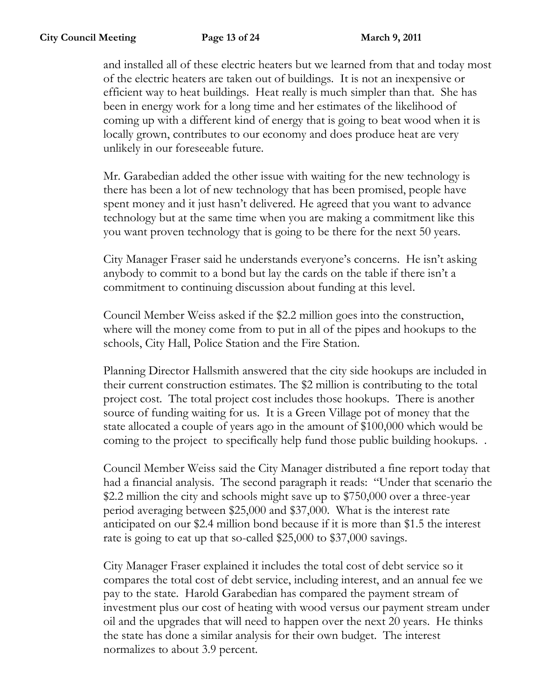and installed all of these electric heaters but we learned from that and today most of the electric heaters are taken out of buildings. It is not an inexpensive or efficient way to heat buildings. Heat really is much simpler than that. She has been in energy work for a long time and her estimates of the likelihood of coming up with a different kind of energy that is going to beat wood when it is locally grown, contributes to our economy and does produce heat are very unlikely in our foreseeable future.

Mr. Garabedian added the other issue with waiting for the new technology is there has been a lot of new technology that has been promised, people have spent money and it just hasn't delivered. He agreed that you want to advance technology but at the same time when you are making a commitment like this you want proven technology that is going to be there for the next 50 years.

City Manager Fraser said he understands everyone's concerns. He isn't asking anybody to commit to a bond but lay the cards on the table if there isn't a commitment to continuing discussion about funding at this level.

Council Member Weiss asked if the \$2.2 million goes into the construction, where will the money come from to put in all of the pipes and hookups to the schools, City Hall, Police Station and the Fire Station.

Planning Director Hallsmith answered that the city side hookups are included in their current construction estimates. The \$2 million is contributing to the total project cost. The total project cost includes those hookups. There is another source of funding waiting for us. It is a Green Village pot of money that the state allocated a couple of years ago in the amount of \$100,000 which would be coming to the project to specifically help fund those public building hookups. .

Council Member Weiss said the City Manager distributed a fine report today that had a financial analysis. The second paragraph it reads: "Under that scenario the \$2.2 million the city and schools might save up to \$750,000 over a three-year period averaging between \$25,000 and \$37,000. What is the interest rate anticipated on our \$2.4 million bond because if it is more than \$1.5 the interest rate is going to eat up that so-called \$25,000 to \$37,000 savings.

City Manager Fraser explained it includes the total cost of debt service so it compares the total cost of debt service, including interest, and an annual fee we pay to the state. Harold Garabedian has compared the payment stream of investment plus our cost of heating with wood versus our payment stream under oil and the upgrades that will need to happen over the next 20 years. He thinks the state has done a similar analysis for their own budget. The interest normalizes to about 3.9 percent.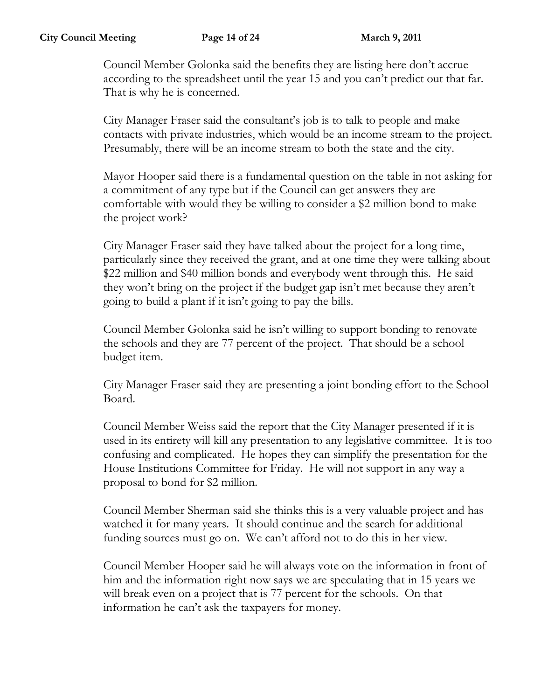Council Member Golonka said the benefits they are listing here don't accrue according to the spreadsheet until the year 15 and you can't predict out that far. That is why he is concerned.

City Manager Fraser said the consultant's job is to talk to people and make contacts with private industries, which would be an income stream to the project. Presumably, there will be an income stream to both the state and the city.

Mayor Hooper said there is a fundamental question on the table in not asking for a commitment of any type but if the Council can get answers they are comfortable with would they be willing to consider a \$2 million bond to make the project work?

City Manager Fraser said they have talked about the project for a long time, particularly since they received the grant, and at one time they were talking about \$22 million and \$40 million bonds and everybody went through this. He said they won't bring on the project if the budget gap isn't met because they aren't going to build a plant if it isn't going to pay the bills.

Council Member Golonka said he isn't willing to support bonding to renovate the schools and they are 77 percent of the project. That should be a school budget item.

City Manager Fraser said they are presenting a joint bonding effort to the School Board.

Council Member Weiss said the report that the City Manager presented if it is used in its entirety will kill any presentation to any legislative committee. It is too confusing and complicated. He hopes they can simplify the presentation for the House Institutions Committee for Friday. He will not support in any way a proposal to bond for \$2 million.

Council Member Sherman said she thinks this is a very valuable project and has watched it for many years. It should continue and the search for additional funding sources must go on. We can't afford not to do this in her view.

Council Member Hooper said he will always vote on the information in front of him and the information right now says we are speculating that in 15 years we will break even on a project that is 77 percent for the schools. On that information he can't ask the taxpayers for money.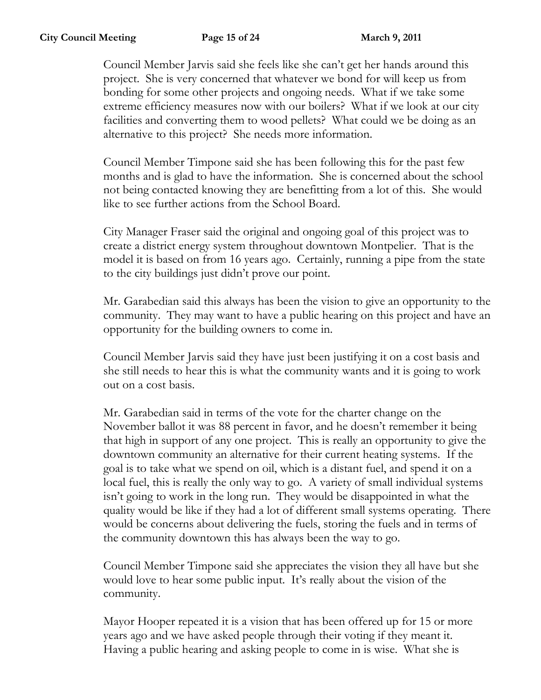Council Member Jarvis said she feels like she can't get her hands around this project. She is very concerned that whatever we bond for will keep us from bonding for some other projects and ongoing needs. What if we take some extreme efficiency measures now with our boilers? What if we look at our city facilities and converting them to wood pellets? What could we be doing as an alternative to this project? She needs more information.

Council Member Timpone said she has been following this for the past few months and is glad to have the information. She is concerned about the school not being contacted knowing they are benefitting from a lot of this. She would like to see further actions from the School Board.

City Manager Fraser said the original and ongoing goal of this project was to create a district energy system throughout downtown Montpelier. That is the model it is based on from 16 years ago. Certainly, running a pipe from the state to the city buildings just didn't prove our point.

Mr. Garabedian said this always has been the vision to give an opportunity to the community. They may want to have a public hearing on this project and have an opportunity for the building owners to come in.

Council Member Jarvis said they have just been justifying it on a cost basis and she still needs to hear this is what the community wants and it is going to work out on a cost basis.

Mr. Garabedian said in terms of the vote for the charter change on the November ballot it was 88 percent in favor, and he doesn't remember it being that high in support of any one project. This is really an opportunity to give the downtown community an alternative for their current heating systems. If the goal is to take what we spend on oil, which is a distant fuel, and spend it on a local fuel, this is really the only way to go. A variety of small individual systems isn't going to work in the long run. They would be disappointed in what the quality would be like if they had a lot of different small systems operating. There would be concerns about delivering the fuels, storing the fuels and in terms of the community downtown this has always been the way to go.

Council Member Timpone said she appreciates the vision they all have but she would love to hear some public input. It's really about the vision of the community.

Mayor Hooper repeated it is a vision that has been offered up for 15 or more years ago and we have asked people through their voting if they meant it. Having a public hearing and asking people to come in is wise. What she is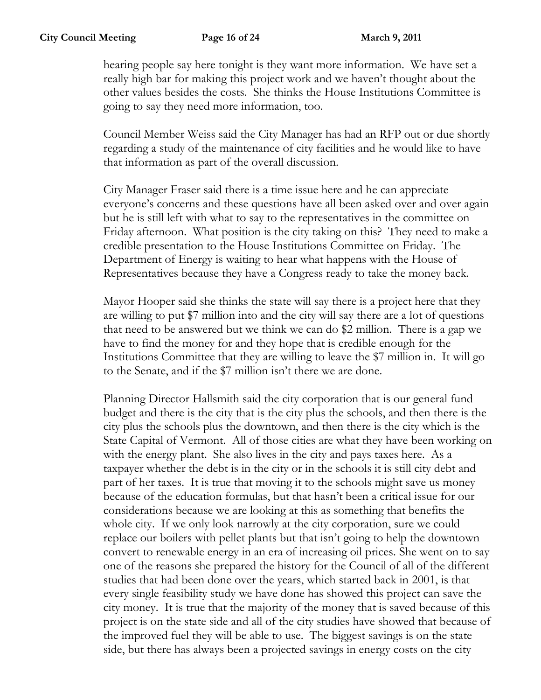hearing people say here tonight is they want more information. We have set a really high bar for making this project work and we haven't thought about the other values besides the costs. She thinks the House Institutions Committee is going to say they need more information, too.

Council Member Weiss said the City Manager has had an RFP out or due shortly regarding a study of the maintenance of city facilities and he would like to have that information as part of the overall discussion.

City Manager Fraser said there is a time issue here and he can appreciate everyone's concerns and these questions have all been asked over and over again but he is still left with what to say to the representatives in the committee on Friday afternoon. What position is the city taking on this? They need to make a credible presentation to the House Institutions Committee on Friday. The Department of Energy is waiting to hear what happens with the House of Representatives because they have a Congress ready to take the money back.

Mayor Hooper said she thinks the state will say there is a project here that they are willing to put \$7 million into and the city will say there are a lot of questions that need to be answered but we think we can do \$2 million. There is a gap we have to find the money for and they hope that is credible enough for the Institutions Committee that they are willing to leave the \$7 million in. It will go to the Senate, and if the \$7 million isn't there we are done.

Planning Director Hallsmith said the city corporation that is our general fund budget and there is the city that is the city plus the schools, and then there is the city plus the schools plus the downtown, and then there is the city which is the State Capital of Vermont. All of those cities are what they have been working on with the energy plant. She also lives in the city and pays taxes here. As a taxpayer whether the debt is in the city or in the schools it is still city debt and part of her taxes. It is true that moving it to the schools might save us money because of the education formulas, but that hasn't been a critical issue for our considerations because we are looking at this as something that benefits the whole city. If we only look narrowly at the city corporation, sure we could replace our boilers with pellet plants but that isn't going to help the downtown convert to renewable energy in an era of increasing oil prices. She went on to say one of the reasons she prepared the history for the Council of all of the different studies that had been done over the years, which started back in 2001, is that every single feasibility study we have done has showed this project can save the city money. It is true that the majority of the money that is saved because of this project is on the state side and all of the city studies have showed that because of the improved fuel they will be able to use. The biggest savings is on the state side, but there has always been a projected savings in energy costs on the city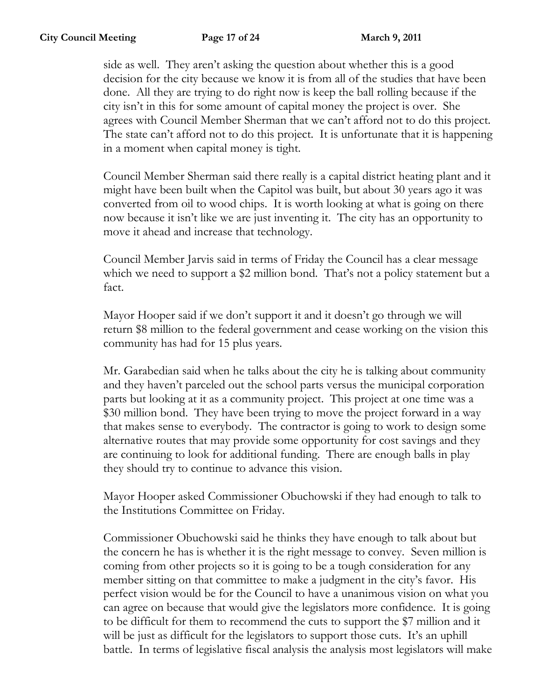side as well. They aren't asking the question about whether this is a good decision for the city because we know it is from all of the studies that have been done. All they are trying to do right now is keep the ball rolling because if the city isn't in this for some amount of capital money the project is over. She agrees with Council Member Sherman that we can't afford not to do this project. The state can't afford not to do this project. It is unfortunate that it is happening in a moment when capital money is tight.

Council Member Sherman said there really is a capital district heating plant and it might have been built when the Capitol was built, but about 30 years ago it was converted from oil to wood chips. It is worth looking at what is going on there now because it isn't like we are just inventing it. The city has an opportunity to move it ahead and increase that technology.

Council Member Jarvis said in terms of Friday the Council has a clear message which we need to support a \$2 million bond. That's not a policy statement but a fact.

Mayor Hooper said if we don't support it and it doesn't go through we will return \$8 million to the federal government and cease working on the vision this community has had for 15 plus years.

Mr. Garabedian said when he talks about the city he is talking about community and they haven't parceled out the school parts versus the municipal corporation parts but looking at it as a community project. This project at one time was a \$30 million bond. They have been trying to move the project forward in a way that makes sense to everybody. The contractor is going to work to design some alternative routes that may provide some opportunity for cost savings and they are continuing to look for additional funding. There are enough balls in play they should try to continue to advance this vision.

Mayor Hooper asked Commissioner Obuchowski if they had enough to talk to the Institutions Committee on Friday.

Commissioner Obuchowski said he thinks they have enough to talk about but the concern he has is whether it is the right message to convey. Seven million is coming from other projects so it is going to be a tough consideration for any member sitting on that committee to make a judgment in the city's favor. His perfect vision would be for the Council to have a unanimous vision on what you can agree on because that would give the legislators more confidence. It is going to be difficult for them to recommend the cuts to support the \$7 million and it will be just as difficult for the legislators to support those cuts. It's an uphill battle. In terms of legislative fiscal analysis the analysis most legislators will make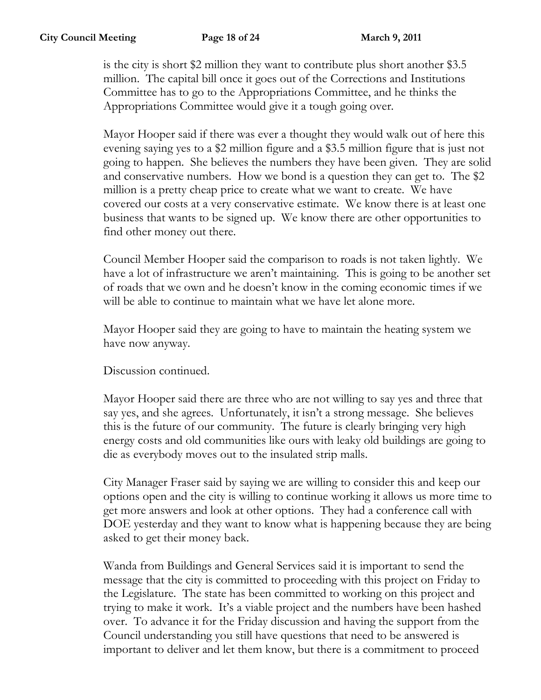is the city is short \$2 million they want to contribute plus short another \$3.5 million. The capital bill once it goes out of the Corrections and Institutions Committee has to go to the Appropriations Committee, and he thinks the Appropriations Committee would give it a tough going over.

Mayor Hooper said if there was ever a thought they would walk out of here this evening saying yes to a \$2 million figure and a \$3.5 million figure that is just not going to happen. She believes the numbers they have been given. They are solid and conservative numbers. How we bond is a question they can get to. The \$2 million is a pretty cheap price to create what we want to create. We have covered our costs at a very conservative estimate. We know there is at least one business that wants to be signed up. We know there are other opportunities to find other money out there.

Council Member Hooper said the comparison to roads is not taken lightly. We have a lot of infrastructure we aren't maintaining. This is going to be another set of roads that we own and he doesn't know in the coming economic times if we will be able to continue to maintain what we have let alone more.

Mayor Hooper said they are going to have to maintain the heating system we have now anyway.

Discussion continued.

Mayor Hooper said there are three who are not willing to say yes and three that say yes, and she agrees. Unfortunately, it isn't a strong message. She believes this is the future of our community. The future is clearly bringing very high energy costs and old communities like ours with leaky old buildings are going to die as everybody moves out to the insulated strip malls.

City Manager Fraser said by saying we are willing to consider this and keep our options open and the city is willing to continue working it allows us more time to get more answers and look at other options. They had a conference call with DOE yesterday and they want to know what is happening because they are being asked to get their money back.

Wanda from Buildings and General Services said it is important to send the message that the city is committed to proceeding with this project on Friday to the Legislature. The state has been committed to working on this project and trying to make it work. It's a viable project and the numbers have been hashed over. To advance it for the Friday discussion and having the support from the Council understanding you still have questions that need to be answered is important to deliver and let them know, but there is a commitment to proceed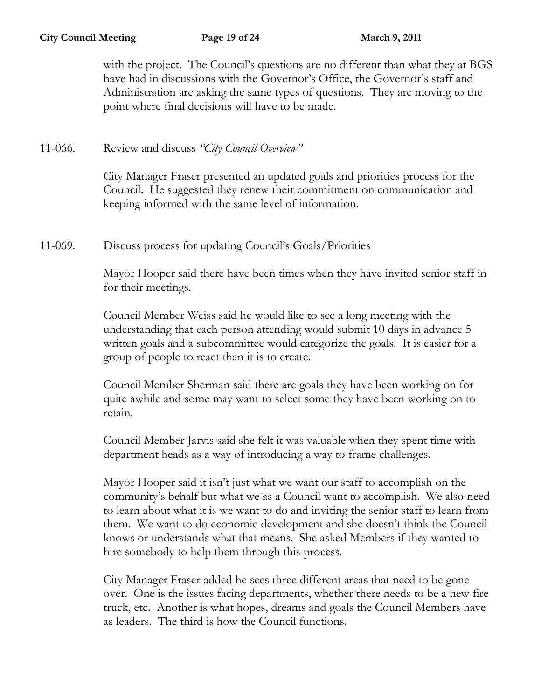with the project. The Council's questions are no different than what they at BGS have had in discussions with the Governor's Office, the Governor's staff and Administration are asking the same types of questions. They are moving to the point where final decisions will have to be made.

11-066. Review and discuss *"City Council Overview"*

City Manager Fraser presented an updated goals and priorities process for the Council. He suggested they renew their commitment on communication and keeping informed with the same level of information.

11-069. Discuss process for updating Council's Goals/Priorities

Mayor Hooper said there have been times when they have invited senior staff in for their meetings.

Council Member Weiss said he would like to see a long meeting with the understanding that each person attending would submit 10 days in advance 5 written goals and a subcommittee would categorize the goals. It is easier for a group of people to react than it is to create.

Council Member Sherman said there are goals they have been working on for quite awhile and some may want to select some they have been working on to retain.

Council Member Jarvis said she felt it was valuable when they spent time with department heads as a way of introducing a way to frame challenges.

Mayor Hooper said it isn't just what we want our staff to accomplish on the community's behalf but what we as a Council want to accomplish. We also need to learn about what it is we want to do and inviting the senior staff to learn from them. We want to do economic development and she doesn't think the Council knows or understands what that means. She asked Members if they wanted to hire somebody to help them through this process.

City Manager Fraser added he sees three different areas that need to be gone over. One is the issues facing departments, whether there needs to be a new fire truck, etc. Another is what hopes, dreams and goals the Council Members have as leaders. The third is how the Council functions.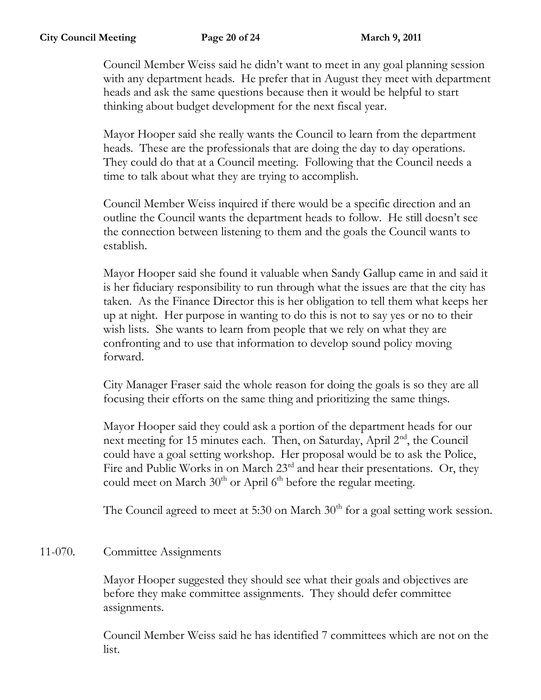Council Member Weiss said he didn't want to meet in any goal planning session with any department heads. He prefer that in August they meet with department heads and ask the same questions because then it would be helpful to start thinking about budget development for the next fiscal year.

Mayor Hooper said she really wants the Council to learn from the department heads. These are the professionals that are doing the day to day operations. They could do that at a Council meeting. Following that the Council needs a time to talk about what they are trying to accomplish.

Council Member Weiss inquired if there would be a specific direction and an outline the Council wants the department heads to follow. He still doesn't see the connection between listening to them and the goals the Council wants to establish.

Mayor Hooper said she found it valuable when Sandy Gallup came in and said it is her fiduciary responsibility to run through what the issues are that the city has taken. As the Finance Director this is her obligation to tell them what keeps her up at night. Her purpose in wanting to do this is not to say yes or no to their wish lists. She wants to learn from people that we rely on what they are confronting and to use that information to develop sound policy moving forward.

City Manager Fraser said the whole reason for doing the goals is so they are all focusing their efforts on the same thing and prioritizing the same things.

Mayor Hooper said they could ask a portion of the department heads for our next meeting for 15 minutes each. Then, on Saturday, April 2<sup>nd</sup>, the Council could have a goal setting workshop. Her proposal would be to ask the Police, Fire and Public Works in on March 23<sup>rd</sup> and hear their presentations. Or, they could meet on March  $30<sup>th</sup>$  or April 6<sup>th</sup> before the regular meeting.

The Council agreed to meet at 5:30 on March  $30<sup>th</sup>$  for a goal setting work session.

# 11-070. Committee Assignments

Mayor Hooper suggested they should see what their goals and objectives are before they make committee assignments. They should defer committee assignments.

Council Member Weiss said he has identified 7 committees which are not on the list.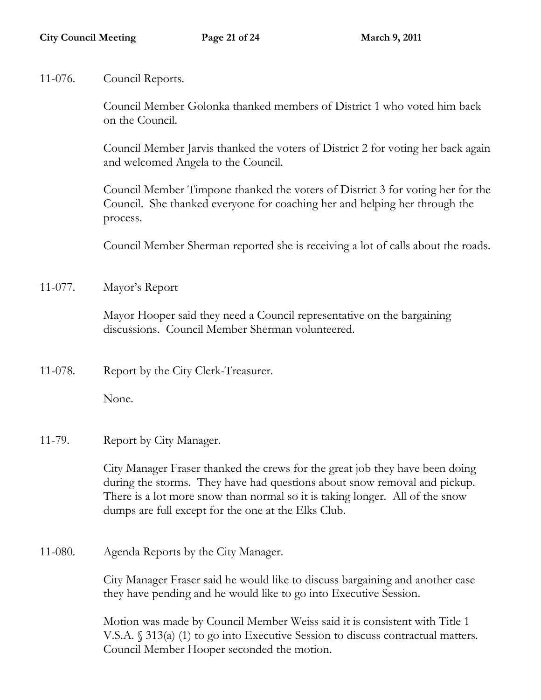11-076. Council Reports.

Council Member Golonka thanked members of District 1 who voted him back on the Council.

Council Member Jarvis thanked the voters of District 2 for voting her back again and welcomed Angela to the Council.

Council Member Timpone thanked the voters of District 3 for voting her for the Council. She thanked everyone for coaching her and helping her through the process.

Council Member Sherman reported she is receiving a lot of calls about the roads.

11-077. Mayor's Report

Mayor Hooper said they need a Council representative on the bargaining discussions. Council Member Sherman volunteered.

11-078. Report by the City Clerk-Treasurer.

None.

11-79. Report by City Manager.

City Manager Fraser thanked the crews for the great job they have been doing during the storms. They have had questions about snow removal and pickup. There is a lot more snow than normal so it is taking longer. All of the snow dumps are full except for the one at the Elks Club.

11-080. Agenda Reports by the City Manager.

City Manager Fraser said he would like to discuss bargaining and another case they have pending and he would like to go into Executive Session.

Motion was made by Council Member Weiss said it is consistent with Title 1 V.S.A. § 313(a) (1) to go into Executive Session to discuss contractual matters. Council Member Hooper seconded the motion.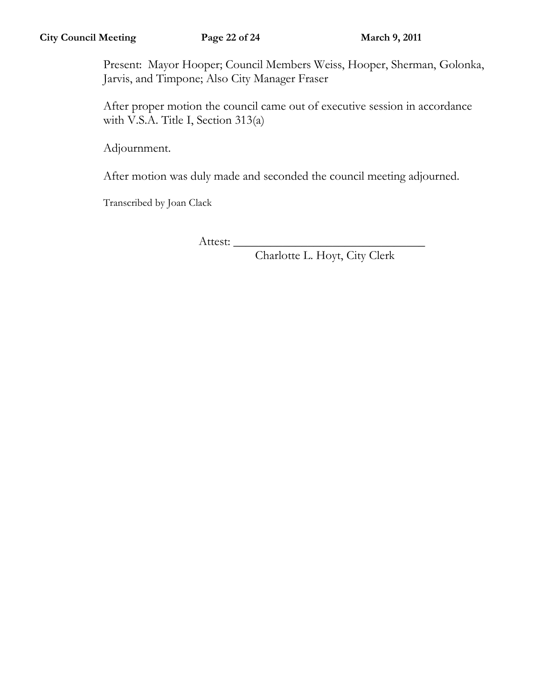Present: Mayor Hooper; Council Members Weiss, Hooper, Sherman, Golonka, Jarvis, and Timpone; Also City Manager Fraser

After proper motion the council came out of executive session in accordance with V.S.A. Title I, Section 313(a)

Adjournment.

After motion was duly made and seconded the council meeting adjourned.

Transcribed by Joan Clack

Attest:

Charlotte L. Hoyt, City Clerk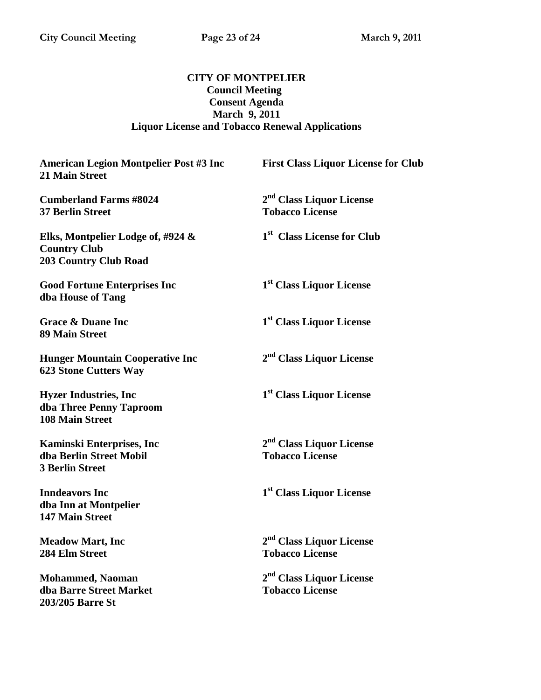### **CITY OF MONTPELIER Council Meeting Consent Agenda March 9, 2011 Liquor License and Tobacco Renewal Applications**

#### American Legion Montpelier Post #3 Inc First Class Liquor License for Club **21 Main Street**

**Cumberland Farms #8024 2 37 Berlin Street Tobacco License** 

**Elks, Montpelier Lodge of, #924 & 1 Country Club 203 Country Club Road** 

**Good Fortune Enterprises Inc 1 dba House of Tang** 

**Grace & Duane Inc 1 89 Main Street** 

**Hunger Mountain Cooperative Inc 2 623 Stone Cutters Way** 

**Hyzer Industries, Inc 1 dba Three Penny Taproom 108 Main Street** 

**Kaminski Enterprises, Inc 2 dba Berlin Street Mobil Tobacco License 3 Berlin Street** 

**Inndeavors Inc dba Inn at Montpelier 147 Main Street** 

**Meadow Mart, Inc 2 284 Elm Street Tobacco License** 

**Mohammed, Naoman 2 dba Barre Street Market Tobacco License 203/205 Barre St** 

**nd Class Liquor License**

**st Class License for Club**

**st Class Liquor License** 

**st Class Liquor License** 

**nd Class Liquor License** 

**st Class Liquor License** 

**nd Class Liquor License** 

**st Class Liquor License** 

**nd Class Liquor License**

**nd Class Liquor License**